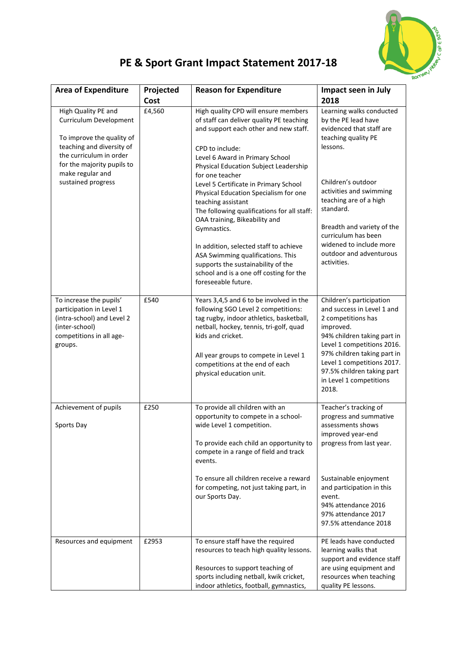

## **PE & Sport Grant Impact Statement 2017-18**

| <b>Area of Expenditure</b>                                                                                                                                                                                 | Projected<br>Cost | <b>Reason for Expenditure</b>                                                                                                                                                                                                                                                                                                                                                                                                                                                                                                                                                                                                             | Impact seen in July<br>2018                                                                                                                                                                                                                                                                                                      |
|------------------------------------------------------------------------------------------------------------------------------------------------------------------------------------------------------------|-------------------|-------------------------------------------------------------------------------------------------------------------------------------------------------------------------------------------------------------------------------------------------------------------------------------------------------------------------------------------------------------------------------------------------------------------------------------------------------------------------------------------------------------------------------------------------------------------------------------------------------------------------------------------|----------------------------------------------------------------------------------------------------------------------------------------------------------------------------------------------------------------------------------------------------------------------------------------------------------------------------------|
| High Quality PE and<br>Curriculum Development<br>To improve the quality of<br>teaching and diversity of<br>the curriculum in order<br>for the majority pupils to<br>make regular and<br>sustained progress | £4,560            | High quality CPD will ensure members<br>of staff can deliver quality PE teaching<br>and support each other and new staff.<br>CPD to include:<br>Level 6 Award in Primary School<br>Physical Education Subject Leadership<br>for one teacher<br>Level 5 Certificate in Primary School<br>Physical Education Specialism for one<br>teaching assistant<br>The following qualifications for all staff:<br>OAA training, Bikeability and<br>Gymnastics.<br>In addition, selected staff to achieve<br>ASA Swimming qualifications. This<br>supports the sustainability of the<br>school and is a one off costing for the<br>foreseeable future. | Learning walks conducted<br>by the PE lead have<br>evidenced that staff are<br>teaching quality PE<br>lessons.<br>Children's outdoor<br>activities and swimming<br>teaching are of a high<br>standard.<br>Breadth and variety of the<br>curriculum has been<br>widened to include more<br>outdoor and adventurous<br>activities. |
| To increase the pupils'<br>participation in Level 1<br>(intra-school) and Level 2<br>(inter-school)<br>competitions in all age-<br>groups.                                                                 | £540              | Years 3,4,5 and 6 to be involved in the<br>following SGO Level 2 competitions:<br>tag rugby, indoor athletics, basketball,<br>netball, hockey, tennis, tri-golf, quad<br>kids and cricket.<br>All year groups to compete in Level 1<br>competitions at the end of each<br>physical education unit.                                                                                                                                                                                                                                                                                                                                        | Children's participation<br>and success in Level 1 and<br>2 competitions has<br>improved.<br>94% children taking part in<br>Level 1 competitions 2016.<br>97% children taking part in<br>Level 1 competitions 2017.<br>97.5% children taking part<br>in Level 1 competitions<br>2018.                                            |
| Achievement of pupils<br>Sports Day                                                                                                                                                                        | £250              | To provide all children with an<br>opportunity to compete in a school-<br>wide Level 1 competition.<br>To provide each child an opportunity to<br>compete in a range of field and track<br>events.<br>To ensure all children receive a reward<br>for competing, not just taking part, in<br>our Sports Day.                                                                                                                                                                                                                                                                                                                               | Teacher's tracking of<br>progress and summative<br>assessments shows<br>improved year-end<br>progress from last year.<br>Sustainable enjoyment<br>and participation in this<br>event.<br>94% attendance 2016<br>97% attendance 2017<br>97.5% attendance 2018                                                                     |
| Resources and equipment                                                                                                                                                                                    | £2953             | To ensure staff have the required<br>resources to teach high quality lessons.<br>Resources to support teaching of<br>sports including netball, kwik cricket,<br>indoor athletics, football, gymnastics,                                                                                                                                                                                                                                                                                                                                                                                                                                   | PE leads have conducted<br>learning walks that<br>support and evidence staff<br>are using equipment and<br>resources when teaching<br>quality PE lessons.                                                                                                                                                                        |